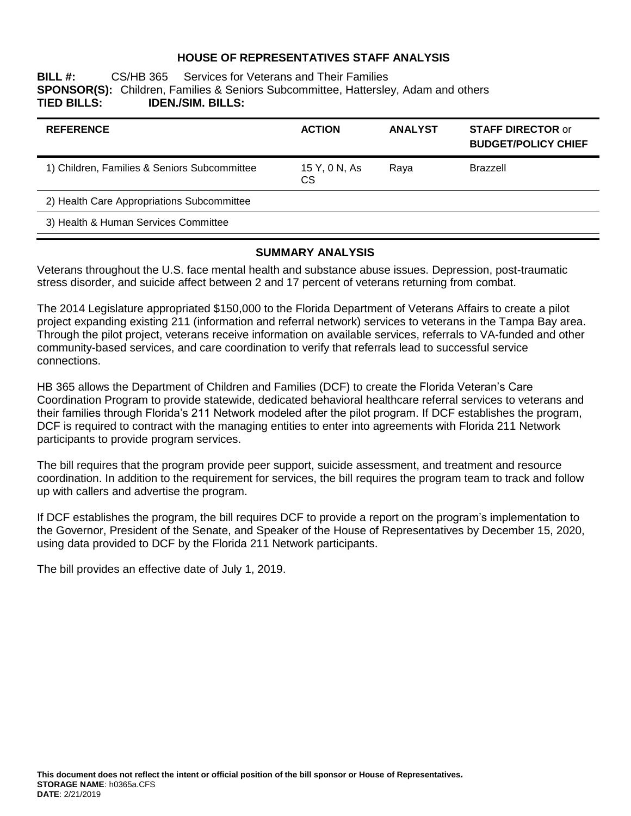#### **HOUSE OF REPRESENTATIVES STAFF ANALYSIS**

#### **BILL #:** CS/HB 365 Services for Veterans and Their Families **SPONSOR(S):** Children, Families & Seniors Subcommittee, Hattersley, Adam and others **TIED BILLS: IDEN./SIM. BILLS:**

| <b>REFERENCE</b>                             | <b>ACTION</b>              | <b>ANALYST</b> | <b>STAFF DIRECTOR or</b><br><b>BUDGET/POLICY CHIEF</b> |
|----------------------------------------------|----------------------------|----------------|--------------------------------------------------------|
| 1) Children, Families & Seniors Subcommittee | 15 Y, 0 N, As<br><b>CS</b> | Raya           | <b>Brazzell</b>                                        |
| 2) Health Care Appropriations Subcommittee   |                            |                |                                                        |
| 3) Health & Human Services Committee         |                            |                |                                                        |

#### **SUMMARY ANALYSIS**

Veterans throughout the U.S. face mental health and substance abuse issues. Depression, post-traumatic stress disorder, and suicide affect between 2 and 17 percent of veterans returning from combat.

The 2014 Legislature appropriated \$150,000 to the Florida Department of Veterans Affairs to create a pilot project expanding existing 211 (information and referral network) services to veterans in the Tampa Bay area. Through the pilot project, veterans receive information on available services, referrals to VA-funded and other community-based services, and care coordination to verify that referrals lead to successful service connections.

HB 365 allows the Department of Children and Families (DCF) to create the Florida Veteran's Care Coordination Program to provide statewide, dedicated behavioral healthcare referral services to veterans and their families through Florida's 211 Network modeled after the pilot program. If DCF establishes the program, DCF is required to contract with the managing entities to enter into agreements with Florida 211 Network participants to provide program services.

The bill requires that the program provide peer support, suicide assessment, and treatment and resource coordination. In addition to the requirement for services, the bill requires the program team to track and follow up with callers and advertise the program.

If DCF establishes the program, the bill requires DCF to provide a report on the program's implementation to the Governor, President of the Senate, and Speaker of the House of Representatives by December 15, 2020, using data provided to DCF by the Florida 211 Network participants.

The bill provides an effective date of July 1, 2019.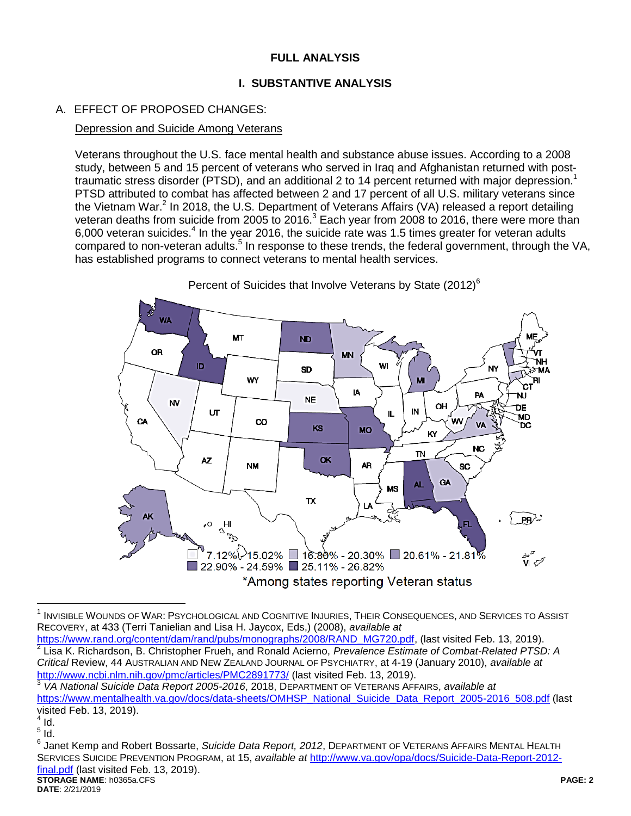# **FULL ANALYSIS**

## **I. SUBSTANTIVE ANALYSIS**

# A. EFFECT OF PROPOSED CHANGES:

#### Depression and Suicide Among Veterans

Veterans throughout the U.S. face mental health and substance abuse issues. According to a 2008 study, between 5 and 15 percent of veterans who served in Iraq and Afghanistan returned with posttraumatic stress disorder (PTSD), and an additional 2 to 14 percent returned with major depression.<sup>1</sup> PTSD attributed to combat has affected between 2 and 17 percent of all U.S. military veterans since the Vietnam War.<sup>2</sup> In 2018, the U.S. Department of Veterans Affairs (VA) released a report detailing veteran deaths from suicide from 2005 to 2016.<sup>3</sup> Each year from 2008 to 2016, there were more than 6,000 veteran suicides. $4$  In the year 2016, the suicide rate was 1.5 times greater for veteran adults compared to non-veteran adults.<sup>5</sup> In response to these trends, the federal government, through the VA, has established programs to connect veterans to mental health services.



Percent of Suicides that Involve Veterans by State (2012)<sup>6</sup>

[https://www.rand.org/content/dam/rand/pubs/monographs/2008/RAND\\_MG720.pdf,](https://www.rand.org/content/dam/rand/pubs/monographs/2008/RAND_MG720.pdf) (last visited Feb. 13, 2019).<br><sup>2</sup> Lise K. Bichardean, B. Christepher Fruch, and Banald Acierna, *Provolance Entimate of Cambat Bolated PTSI* Lisa K. Richardson, B. Christopher Frueh, and Ronald Acierno, *Prevalence Estimate of Combat-Related PTSD: A Critical* Review, 44 AUSTRALIAN AND NEW ZEALAND JOURNAL OF PSYCHIATRY, at 4-19 (January 2010), *available at* <http://www.ncbi.nlm.nih.gov/pmc/articles/PMC2891773/> (last visited Feb. 13, 2019).

 $\overline{a}$  $^{\rm 1}$  Invisible Wounds of War: Psychological and Cognitive Injuries, Their Consequences, and Services to Assist RECOVERY, at 433 (Terri Tanielian and Lisa H. Jaycox, Eds,) (2008), *available at* 

<sup>3</sup> *VA National Suicide Data Report 2005-2016*, 2018, DEPARTMENT OF VETERANS AFFAIRS, *available at* [https://www.mentalhealth.va.gov/docs/data-sheets/OMHSP\\_National\\_Suicide\\_Data\\_Report\\_2005-2016\\_508.pdf](https://www.mentalhealth.va.gov/docs/data-sheets/OMHSP_National_Suicide_Data_Report_2005-2016_508.pdf) (last visited Feb. 13, 2019).

 $^{4}$  Id.

 $\frac{5}{1}$ ld. 6

**STORAGE NAME**: h0365a.CFS **PAGE: 2** Janet Kemp and Robert Bossarte, *Suicide Data Report, 2012*, DEPARTMENT OF VETERANS AFFAIRS MENTAL HEALTH SERVICES SUICIDE PREVENTION PROGRAM, at 15, *available at* [http://www.va.gov/opa/docs/Suicide-Data-Report-2012](http://www.va.gov/opa/docs/Suicide-Data-Report-2012-final.pdf) [final.pdf](http://www.va.gov/opa/docs/Suicide-Data-Report-2012-final.pdf) (last visited Feb. 13, 2019).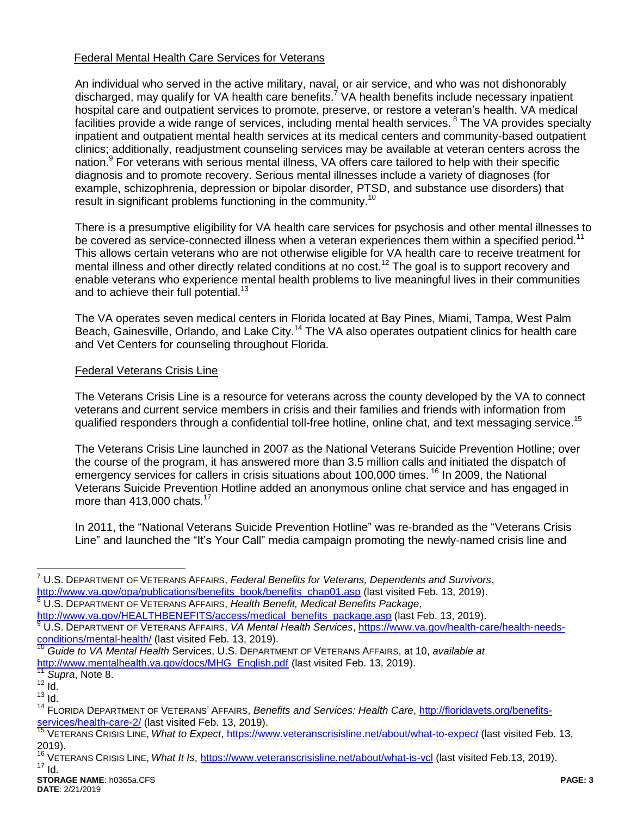#### Federal Mental Health Care Services for Veterans

An individual who served in the active military, naval, or air service, and who was not dishonorably discharged, may qualify for VA health care benefits.<sup>7</sup> VA health benefits include necessary inpatient hospital care and outpatient services to promote, preserve, or restore a veteran's health. VA medical facilities provide a wide range of services, including mental health services. <sup>8</sup> The VA provides specialty inpatient and outpatient mental health services at its medical centers and community-based outpatient clinics; additionally, readjustment counseling services may be available at veteran centers across the nation.<sup>9</sup> For veterans with serious mental illness, VA offers care tailored to help with their specific diagnosis and to promote recovery. Serious mental illnesses include a variety of diagnoses (for example, schizophrenia, depression or bipolar disorder, PTSD, and substance use disorders) that result in significant problems functioning in the community.<sup>10</sup>

There is a presumptive eligibility for VA health care services for psychosis and other mental illnesses to be covered as service-connected illness when a veteran experiences them within a specified period.<sup>11</sup> This allows certain veterans who are not otherwise eligible for VA health care to receive treatment for mental illness and other directly related conditions at no cost.<sup>12</sup> The goal is to support recovery and enable veterans who experience mental health problems to live meaningful lives in their communities and to achieve their full potential.<sup>13</sup>

The VA operates seven medical centers in Florida located at Bay Pines, Miami, Tampa, West Palm Beach, Gainesville, Orlando, and Lake City.<sup>14</sup> The VA also operates outpatient clinics for health care and Vet Centers for counseling throughout Florida.

### Federal Veterans Crisis Line

The Veterans Crisis Line is a resource for veterans across the county developed by the VA to connect veterans and current service members in crisis and their families and friends with information from qualified responders through a confidential toll-free hotline, online chat, and text messaging service.<sup>15</sup>

The Veterans Crisis Line launched in 2007 as the National Veterans Suicide Prevention Hotline; over the course of the program, it has answered more than 3.5 million calls and initiated the dispatch of emergency services for callers in crisis situations about 100,000 times.<sup>16</sup> In 2009, the National Veterans Suicide Prevention Hotline added an anonymous online chat service and has engaged in more than  $413,000$  chats.<sup>17</sup>

In 2011, the "National Veterans Suicide Prevention Hotline" was re-branded as the "Veterans Crisis Line" and launched the "It's Your Call" media campaign promoting the newly-named crisis line and

<sup>8</sup> U.S. DEPARTMENT OF VETERANS AFFAIRS, *Health Benefit, Medical Benefits Package*,

 $\overline{a}$ 

<sup>7</sup> U.S. DEPARTMENT OF VETERANS AFFAIRS, *Federal Benefits for Veterans, Dependents and Survivors*, [http://www.va.gov/opa/publications/benefits\\_book/benefits\\_chap01.asp](http://www.va.gov/opa/publications/benefits_book/benefits_chap01.asp) (last visited Feb. 13, 2019).

[http://www.va.gov/HEALTHBENEFITS/access/medical\\_benefits\\_package.asp](http://www.va.gov/HEALTHBENEFITS/access/medical_benefits_package.asp) (last Feb. 13, 2019). <sup>9</sup> U.S. DEPARTMENT OF VETERANS AFFAIRS, *VA Mental Health Services*, [https://www.va.gov/health-care/health-needs](https://www.va.gov/health-care/health-needs-conditions/mental-health/)[conditions/mental-health/](https://www.va.gov/health-care/health-needs-conditions/mental-health/) (last visited Feb. 13, 2019).

<sup>10</sup> *Guide to VA Mental Health* Services, U.S. DEPARTMENT OF VETERANS AFFAIRS, at 10, *available at*  [http://www.mentalhealth.va.gov/docs/MHG\\_English.pdf](http://www.mentalhealth.va.gov/docs/MHG_English.pdf) (last visited Feb. 13, 2019).

Supra, Note 8.

 $12$  Id.

 $13$   $\overline{1}$ d.

<sup>14</sup> FLORIDA DEPARTMENT OF VETERANS' AFFAIRS, *Benefits and Services: Health Care*, [http://floridavets.org/benefits](http://floridavets.org/benefits-services/health-care-2/)[services/health-care-2/](http://floridavets.org/benefits-services/health-care-2/) (last visited Feb. 13, 2019).

<sup>15</sup> VETERANS CRISIS LINE, *What to Expect*, [https://www.veteranscrisisline.net/about/what-to-expec](https://www.veteranscrisisline.net/about/what-to-expect)*t* (last visited Feb. 13, 2019).

<sup>&</sup>lt;sup>16</sup> VETERANS CRISIS LINE, *What It Is*,<https://www.veteranscrisisline.net/about/what-is-vcl> (last visited Feb.13, 2019). <sup>17</sup> Id.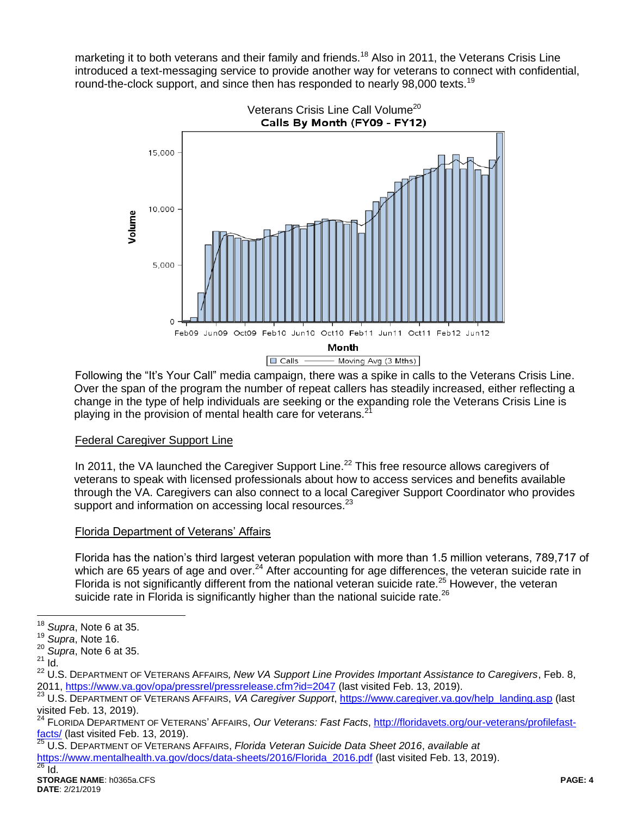marketing it to both veterans and their family and friends.<sup>18</sup> Also in 2011, the Veterans Crisis Line introduced a text-messaging service to provide another way for veterans to connect with confidential, round-the-clock support, and since then has responded to nearly 98,000 texts.<sup>19</sup>



Following the "It's Your Call" media campaign, there was a spike in calls to the Veterans Crisis Line. Over the span of the program the number of repeat callers has steadily increased, either reflecting a change in the type of help individuals are seeking or the expanding role the Veterans Crisis Line is playing in the provision of mental health care for veterans.<sup>21</sup>

### Federal Caregiver Support Line

In 2011, the VA launched the Caregiver Support Line.<sup>22</sup> This free resource allows caregivers of veterans to speak with licensed professionals about how to access services and benefits available through the VA. Caregivers can also connect to a local Caregiver Support Coordinator who provides support and information on accessing local resources.<sup>23</sup>

# Florida Department of Veterans' Affairs

Florida has the nation's third largest veteran population with more than 1.5 million veterans, 789,717 of which are 65 years of age and over.<sup>24</sup> After accounting for age differences, the veteran suicide rate in Florida is not significantly different from the national veteran suicide rate.<sup>25</sup> However, the veteran suicide rate in Florida is significantly higher than the national suicide rate.<sup>26</sup>

 $\overline{a}$ <sup>18</sup> *Supra*, Note 6 at 35.

<sup>19</sup> *Supra*, Note 16.

<sup>20</sup> *Supra*, Note 6 at 35.

 $21$  Id.

<sup>22</sup> U.S. DEPARTMENT OF VETERANS AFFAIRS*, New VA Support Line Provides Important Assistance to Caregivers*, Feb. 8, 2011,<https://www.va.gov/opa/pressrel/pressrelease.cfm?id=2047> (last visited Feb. 13, 2019).

<sup>23</sup> U.S. DEPARTMENT OF VETERANS AFFAIRS, *VA Caregiver Support*, [https://www.caregiver.va.gov/help\\_landing.asp](https://www.caregiver.va.gov/help_landing.asp) (last visited Feb. 13, 2019).

<sup>24</sup> FLORIDA DEPARTMENT OF VETERANS' AFFAIRS, *Our Veterans: Fast Facts*, [http://floridavets.org/our-veterans/profilefast-](http://floridavets.org/our-veterans/profilefast-facts/) $\frac{\text{facts}}{\text{z}_1 \cdot \text{c}}$  (last visited Feb. 13, 2019).

<sup>25</sup> U.S. DEPARTMENT OF VETERANS AFFAIRS, *Florida Veteran Suicide Data Sheet 2016*, *available at*

[https://www.mentalhealth.va.gov/docs/data-sheets/2016/Florida\\_2016.pdf](https://www.mentalhealth.va.gov/docs/data-sheets/2016/Florida_2016.pdf) (last visited Feb. 13, 2019).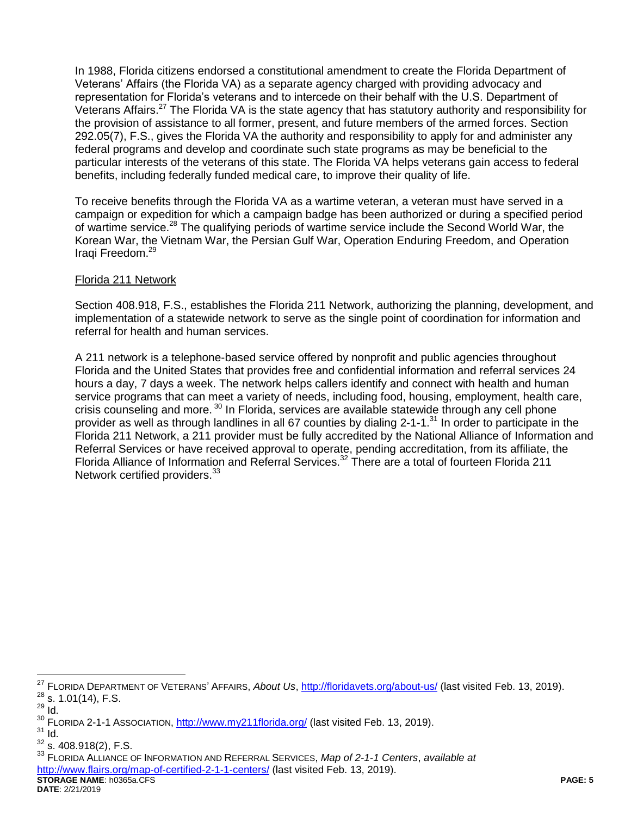In 1988, Florida citizens endorsed a constitutional amendment to create the Florida Department of Veterans' Affairs (the Florida VA) as a separate agency charged with providing advocacy and representation for Florida's veterans and to intercede on their behalf with the U.S. Department of Veterans Affairs.<sup>27</sup> The Florida VA is the state agency that has statutory authority and responsibility for the provision of assistance to all former, present, and future members of the armed forces. Section 292.05(7), F.S., gives the Florida VA the authority and responsibility to apply for and administer any federal programs and develop and coordinate such state programs as may be beneficial to the particular interests of the veterans of this state. The Florida VA helps veterans gain access to federal benefits, including federally funded medical care, to improve their quality of life.

To receive benefits through the Florida VA as a wartime veteran, a veteran must have served in a campaign or expedition for which a campaign badge has been authorized or during a specified period of wartime service.<sup>28</sup> The qualifying periods of wartime service include the Second World War, the Korean War, the Vietnam War, the Persian Gulf War, Operation Enduring Freedom, and Operation Iraqi Freedom. 29

### Florida 211 Network

Section 408.918, F.S., establishes the Florida 211 Network, authorizing the planning, development, and implementation of a statewide network to serve as the single point of coordination for information and referral for health and human services.

A 211 network is a telephone-based service offered by nonprofit and public agencies throughout Florida and the United States that provides free and confidential information and referral services 24 hours a day, 7 days a week. The network helps callers identify and connect with health and human service programs that can meet a variety of needs, including food, housing, employment, health care, crisis counseling and more. <sup>30</sup> In Florida, services are available statewide through any cell phone provider as well as through landlines in all 67 counties by dialing 2-1-1.<sup>31</sup> In order to participate in the Florida 211 Network, a 211 provider must be fully accredited by the National Alliance of Information and Referral Services or have received approval to operate, pending accreditation, from its affiliate, the Florida Alliance of Information and Referral Services.<sup>32</sup> There are a total of fourteen Florida 211 Network certified providers.<sup>33</sup>

 $\overline{a}$ 

**STORAGE NAME**: h0365a.CFS **PAGE: 5** <sup>33</sup> FLORIDA ALLIANCE OF INFORMATION AND REFERRAL SERVICES, *Map of 2-1-1 Centers*, *available at* <http://www.flairs.org/map-of-certified-2-1-1-centers/> (last visited Feb. 13, 2019).

**DATE**: 2/21/2019

<sup>27</sup> FLORIDA DEPARTMENT OF VETERANS' AFFAIRS, *About Us*,<http://floridavets.org/about-us/> (last visited Feb. 13, 2019).  $^{28}$  s. 1.01(14), F.S.

<sup>29</sup> Id.

<sup>&</sup>lt;sup>30</sup> FLORIDA 2-1-1 ASSOCIATION,<http://www.my211florida.org/> (last visited Feb. 13, 2019).

 $31$  Id.

 $32$  s. 408.918(2), F.S.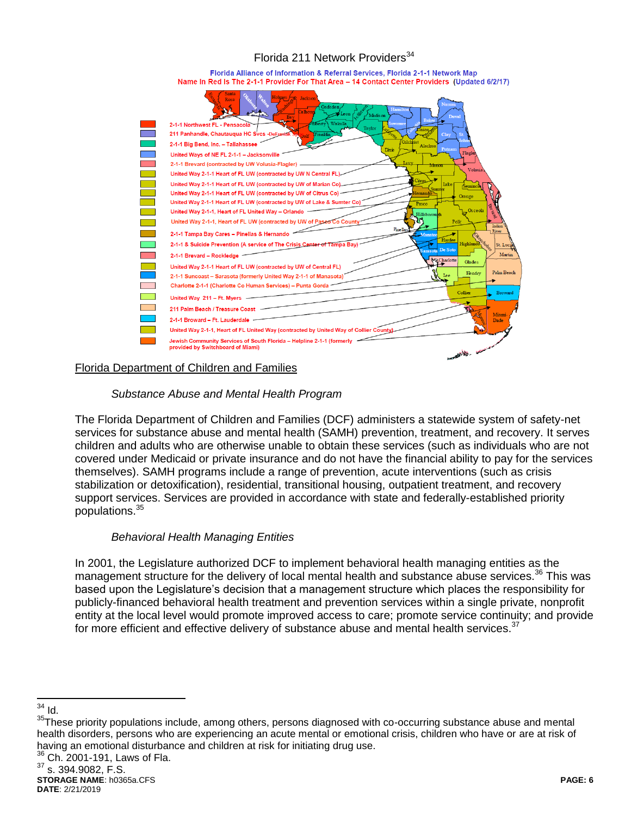# Florida 211 Network Providers<sup>34</sup>

Florida Alliance of Information & Referral Services, Florida 2-1-1 Network Map Name In Red Is The 2-1-1 Provider For That Area - 14 Contact Center Providers (Updated 6/2/17)



### Florida Department of Children and Families

### *Substance Abuse and Mental Health Program*

The Florida Department of Children and Families (DCF) administers a statewide system of safety-net services for substance abuse and mental health (SAMH) prevention, treatment, and recovery. It serves children and adults who are otherwise unable to obtain these services (such as individuals who are not covered under Medicaid or private insurance and do not have the financial ability to pay for the services themselves). SAMH programs include a range of prevention, acute interventions (such as crisis stabilization or detoxification), residential, transitional housing, outpatient treatment, and recovery support services. Services are provided in accordance with state and federally-established priority populations.<sup>35</sup>

### *Behavioral Health Managing Entities*

In 2001, the Legislature authorized DCF to implement behavioral health managing entities as the management structure for the delivery of local mental health and substance abuse services.<sup>36</sup> This was based upon the Legislature's decision that a management structure which places the responsibility for publicly-financed behavioral health treatment and prevention services within a single private, nonprofit entity at the local level would promote improved access to care; promote service continuity; and provide for more efficient and effective delivery of substance abuse and mental health services. $37$ 

 $\overline{a}$  $34$  Id.

<sup>&</sup>lt;sup>35</sup>These priority populations include, among others, persons diagnosed with co-occurring substance abuse and mental health disorders, persons who are experiencing an acute mental or emotional crisis, children who have or are at risk of having an emotional disturbance and children at risk for initiating drug use.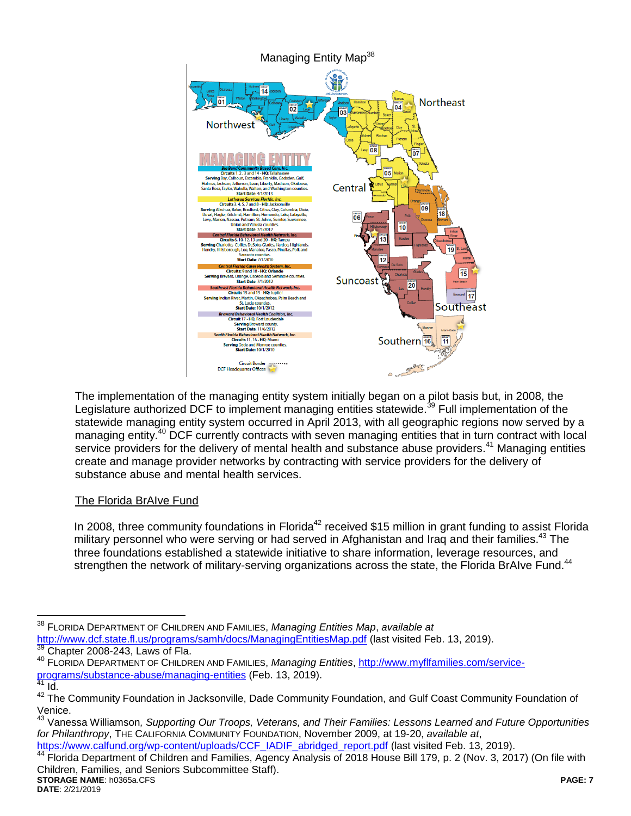

The implementation of the managing entity system initially began on a pilot basis but, in 2008, the Legislature authorized DCF to implement managing entities statewide.<sup>39</sup> Full implementation of the statewide managing entity system occurred in April 2013, with all geographic regions now served by a managing entity.<sup>40</sup> DCF currently contracts with seven managing entities that in turn contract with local service providers for the delivery of mental health and substance abuse providers.<sup>41</sup> Managing entities create and manage provider networks by contracting with service providers for the delivery of substance abuse and mental health services.

# The Florida BrAIve Fund

In 2008, three community foundations in Florida<sup>42</sup> received \$15 million in grant funding to assist Florida military personnel who were serving or had served in Afghanistan and Iraq and their families.<sup>43</sup> The three foundations established a statewide initiative to share information, leverage resources, and strengthen the network of military-serving organizations across the state, the Florida BrAIve Fund.<sup>44</sup>

[https://www.calfund.org/wp-content/uploads/CCF\\_IADIF\\_abridged\\_report.pdf](https://www.calfund.org/wp-content/uploads/CCF_IADIF_abridged_report.pdf) (last visited Feb. 13, 2019).

**STORAGE NAME**: h0365a.CFS **PAGE: 7** Advisom William Community of Children and Families, Agency Analysis of 2018 House Bill 179, p. 2 (Nov. 3, 2017) (On file with Children, Families, and Seniors Subcommittee Staff).

 $\overline{a}$ <sup>38</sup> FLORIDA DEPARTMENT OF CHILDREN AND FAMILIES, *Managing Entities Map*, *available at* <http://www.dcf.state.fl.us/programs/samh/docs/ManagingEntitiesMap.pdf> (last visited Feb. 13, 2019). Chapter 2008-243, Laws of Fla.

<sup>40</sup> FLORIDA DEPARTMENT OF CHILDREN AND FAMILIES, *Managing Entities*, [http://www.myflfamilies.com/service](http://www.myflfamilies.com/service-programs/substance-abuse/managing-entities)[programs/substance-abuse/managing-entities](http://www.myflfamilies.com/service-programs/substance-abuse/managing-entities) (Feb. 13, 2019).

 $41$  Id.

<sup>&</sup>lt;sup>42</sup> The Community Foundation in Jacksonville, Dade Community Foundation, and Gulf Coast Community Foundation of Venice.

<sup>43</sup> Vanessa Williamson*, Supporting Our Troops, Veterans, and Their Families: Lessons Learned and Future Opportunities for Philanthropy*, THE CALIFORNIA COMMUNITY FOUNDATION, November 2009, at 19-20, *available at*,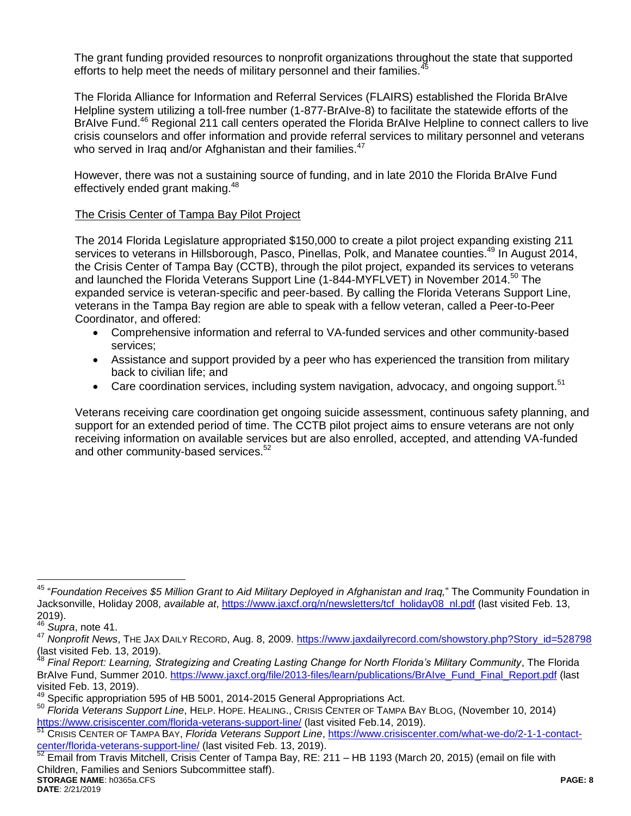The grant funding provided resources to nonprofit organizations throughout the state that supported efforts to help meet the needs of military personnel and their families.<sup>4</sup>

The Florida Alliance for Information and Referral Services (FLAIRS) established the Florida BrAIve Helpline system utilizing a toll-free number (1-877-BrAIve-8) to facilitate the statewide efforts of the BrAIve Fund.<sup>46</sup> Regional 211 call centers operated the Florida BrAIve Helpline to connect callers to live crisis counselors and offer information and provide referral services to military personnel and veterans who served in Iraq and/or Afghanistan and their families.<sup>47</sup>

However, there was not a sustaining source of funding, and in late 2010 the Florida BrAIve Fund effectively ended grant making.<sup>48</sup>

### The Crisis Center of Tampa Bay Pilot Project

The 2014 Florida Legislature appropriated \$150,000 to create a pilot project expanding existing 211 services to veterans in Hillsborough, Pasco, Pinellas, Polk, and Manatee counties.<sup>49</sup> In August 2014, the Crisis Center of Tampa Bay (CCTB), through the pilot project, expanded its services to veterans and launched the Florida Veterans Support Line (1-844-MYFLVET) in November 2014.<sup>50</sup> The expanded service is veteran-specific and peer-based. By calling the Florida Veterans Support Line, veterans in the Tampa Bay region are able to speak with a fellow veteran, called a Peer-to-Peer Coordinator, and offered:

- Comprehensive information and referral to VA-funded services and other community-based services;
- Assistance and support provided by a peer who has experienced the transition from military back to civilian life; and
- Care coordination services, including system navigation, advocacy, and ongoing support.<sup>51</sup>

Veterans receiving care coordination get ongoing suicide assessment, continuous safety planning, and support for an extended period of time. The CCTB pilot project aims to ensure veterans are not only receiving information on available services but are also enrolled, accepted, and attending VA-funded and other community-based services.<sup>52</sup>

 $\overline{a}$ 

**STORAGE NAME**: h0365a.CFS **PAGE: 8** <sup>52</sup> Email from Travis Mitchell, Crisis Center of Tampa Bay, RE: 211 – HB 1193 (March 20, 2015) (email on file with Children, Families and Seniors Subcommittee staff).

<sup>45</sup> "*Foundation Receives \$5 Million Grant to Aid Military Deployed in Afghanistan and Iraq,*" The Community Foundation in Jacksonville, Holiday 2008, *available at*, [https://www.jaxcf.org/n/newsletters/tcf\\_holiday08\\_nl.pdf](https://www.jaxcf.org/n/newsletters/tcf_holiday08_nl.pdf) (last visited Feb. 13, 2019).

<sup>46</sup> *Supra*, note 41.

<sup>&</sup>lt;sup>47</sup> Nonprofit News, THE JAX DAILY RECORD, Aug. 8, 2009. [https://www.jaxdailyrecord.com/showstory.php?Story\\_id=528798](https://www.jaxdailyrecord.com/showstory.php?Story_id=528798) (last visited Feb. 13, 2019).

<sup>48</sup> *Final Report: Learning, Strategizing and Creating Lasting Change for North Florida's Military Community*, The Florida BrAIve Fund, Summer 2010. [https://www.jaxcf.org/file/2013-files/learn/publications/BrAIve\\_Fund\\_Final\\_Report.pdf](https://www.jaxcf.org/file/2013-files/learn/publications/BrAIve_Fund_Final_Report.pdf) (last visited Feb. 13, 2019).

<sup>&</sup>lt;sup>49</sup> Specific appropriation 595 of HB 5001, 2014-2015 General Appropriations Act.

<sup>50</sup> *Florida Veterans Support Line*, HELP. HOPE. HEALING., CRISIS CENTER OF TAMPA BAY BLOG, (November 10, 2014) <https://www.crisiscenter.com/florida-veterans-support-line/> (last visited Feb.14, 2019).

<sup>51</sup> CRISIS CENTER OF TAMPA BAY, *Florida Veterans Support Line*, [https://www.crisiscenter.com/what-we-do/2-1-1-contact](https://www.crisiscenter.com/what-we-do/2-1-1-contact-center/florida-veterans-support-line/)[center/florida-veterans-support-line/](https://www.crisiscenter.com/what-we-do/2-1-1-contact-center/florida-veterans-support-line/) (last visited Feb. 13, 2019).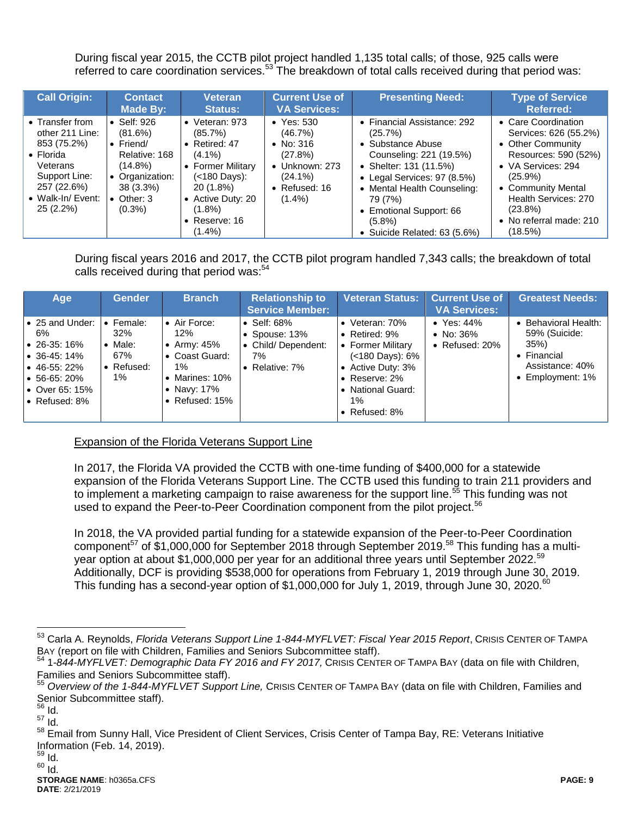During fiscal year 2015, the CCTB pilot project handled 1,135 total calls; of those, 925 calls were referred to care coordination services.<sup>53</sup> The breakdown of total calls received during that period was:

| <b>Call Origin:</b>                                                                                                                                  | <b>Contact</b><br>Made By:                                                                                                                    | Veteran<br><b>Status:</b>                                                                                                                                                             | <b>Current Use of</b><br><b>VA Services:</b>                                                                                    | <b>Presenting Need:</b>                                                                                                                                                                                                                                           | <b>Type of Service</b><br><b>Referred:</b>                                                                                                                                                                                      |
|------------------------------------------------------------------------------------------------------------------------------------------------------|-----------------------------------------------------------------------------------------------------------------------------------------------|---------------------------------------------------------------------------------------------------------------------------------------------------------------------------------------|---------------------------------------------------------------------------------------------------------------------------------|-------------------------------------------------------------------------------------------------------------------------------------------------------------------------------------------------------------------------------------------------------------------|---------------------------------------------------------------------------------------------------------------------------------------------------------------------------------------------------------------------------------|
| • Transfer from<br>other 211 Line:<br>853 (75.2%)<br>$\bullet$ Florida<br>Veterans<br>Support Line:<br>257 (22.6%)<br>• Walk-In/ Event:<br>25 (2.2%) | Self: 926<br>(81.6%)<br>$\bullet$ Friend/<br>Relative: 168<br>$(14.8\%)$<br>• Organization:<br>$38(3.3\%)$<br>$\bullet$ Other: 3<br>$(0.3\%)$ | $\bullet$ Veteran: 973<br>(85.7%)<br>• Retired: $47$<br>$(4.1\%)$<br>• Former Military<br>(<180 Days):<br>20 (1.8%)<br>• Active Duty: 20<br>$(1.8\%)$<br>• Reserve: $16$<br>$(1.4\%)$ | $\bullet$ Yes: 530<br>(46.7%)<br>• No: $316$<br>(27.8%)<br>$\bullet$ Unknown: 273<br>$(24.1\%)$<br>• Refused: $16$<br>$(1.4\%)$ | • Financial Assistance: 292<br>(25.7%)<br>• Substance Abuse<br>Counseling: 221 (19.5%)<br>• Shelter: 131 (11.5%)<br>• Legal Services: 97 (8.5%)<br>• Mental Health Counseling:<br>79 (7%)<br>• Emotional Support: 66<br>$(5.8\%)$<br>• Suicide Related: 63 (5.6%) | • Care Coordination<br>Services: 626 (55.2%)<br>• Other Community<br>Resources: 590 (52%)<br>• VA Services: 294<br>$(25.9\%)$<br>• Community Mental<br>Health Services: 270<br>$(23.8\%)$<br>• No referral made: 210<br>(18.5%) |

During fiscal years 2016 and 2017, the CCTB pilot program handled 7,343 calls; the breakdown of total calls received during that period was:<sup>54</sup>

| Age                                                                                                                                                              | <b>Gender</b>                                                      | <b>Branch</b>                                                                                          | <b>Relationship to</b><br><b>Service Member:</b>                                    | <b>Veteran Status:</b>                                                                                                                                                        | <b>Current Use of</b><br><b>VA Services:</b>            | <b>Greatest Needs:</b>                                                                                   |
|------------------------------------------------------------------------------------------------------------------------------------------------------------------|--------------------------------------------------------------------|--------------------------------------------------------------------------------------------------------|-------------------------------------------------------------------------------------|-------------------------------------------------------------------------------------------------------------------------------------------------------------------------------|---------------------------------------------------------|----------------------------------------------------------------------------------------------------------|
| l• 25 and Under:<br>6%<br>$\bullet$ 26-35:16%<br>$\bullet$ 36-45:14%<br>$\bullet$ 46-55: 22%<br>$\bullet$ 56-65: 20%<br>$\bullet$ Over 65: 15%<br>I• Refused: 8% | Female:<br>$\bullet$<br>32%<br>Male:<br>67%<br>• Refused:<br>$1\%$ | • Air Force:<br>12%<br>Army: 45%<br>Coast Guard:<br>$1\%$<br>Marines: 10%<br>Navy: 17%<br>Refused: 15% | $\bullet$ Self: 68%<br>• Spouse: $13\%$<br>• Child/Dependent:<br>7%<br>Relative: 7% | • Veteran: $70\%$<br>• Retired: $9\%$<br>• Former Military<br>$(<180$ Days): $6\%$<br>• Active Duty: 3%<br>• Reserve: $2\%$<br>• National Guard:<br>$1\%$<br>• Refused: $8\%$ | $\bullet$ Yes: 44%<br>• No: $36\%$<br>• Refused: $20\%$ | • Behavioral Health:<br>59% (Suicide:<br>35%<br>$\bullet$ Financial<br>Assistance: 40%<br>Employment: 1% |

Expansion of the Florida Veterans Support Line

In 2017, the Florida VA provided the CCTB with one-time funding of \$400,000 for a statewide expansion of the Florida Veterans Support Line. The CCTB used this funding to train 211 providers and to implement a marketing campaign to raise awareness for the support line.<sup>55</sup> This funding was not used to expand the Peer-to-Peer Coordination component from the pilot project.<sup>56</sup>

In 2018, the VA provided partial funding for a statewide expansion of the Peer-to-Peer Coordination component<sup>57</sup> of \$1,000,000 for September 2018 through September 2019.<sup>58</sup> This funding has a multiyear option at about \$1,000,000 per year for an additional three years until September 2022.<sup>59</sup> Additionally, DCF is providing \$538,000 for operations from February 1, 2019 through June 30, 2019. This funding has a second-year option of \$1,000,000 for July 1, 2019, through June 30, 2020.<sup>60</sup>

 $\overline{a}$ 

<sup>53</sup> Carla A. Reynolds, *Florida Veterans Support Line 1-844-MYFLVET: Fiscal Year 2015 Report*, CRISIS CENTER OF TAMPA BAY (report on file with Children, Families and Seniors Subcommittee staff).

<sup>54</sup> 1*-844-MYFLVET: Demographic Data FY 2016 and FY 2017,* CRISIS CENTER OF TAMPA BAY (data on file with Children, Families and Seniors Subcommittee staff).

<sup>55</sup> *Overview of the 1-844-MYFLVET Support Line,* CRISIS CENTER OF TAMPA BAY (data on file with Children, Families and Senior Subcommittee staff).

<sup>56</sup> Id.

<sup>57</sup> Id.

<sup>58</sup> Email from Sunny Hall, Vice President of Client Services, Crisis Center of Tampa Bay, RE: Veterans Initiative Information (Feb. 14, 2019).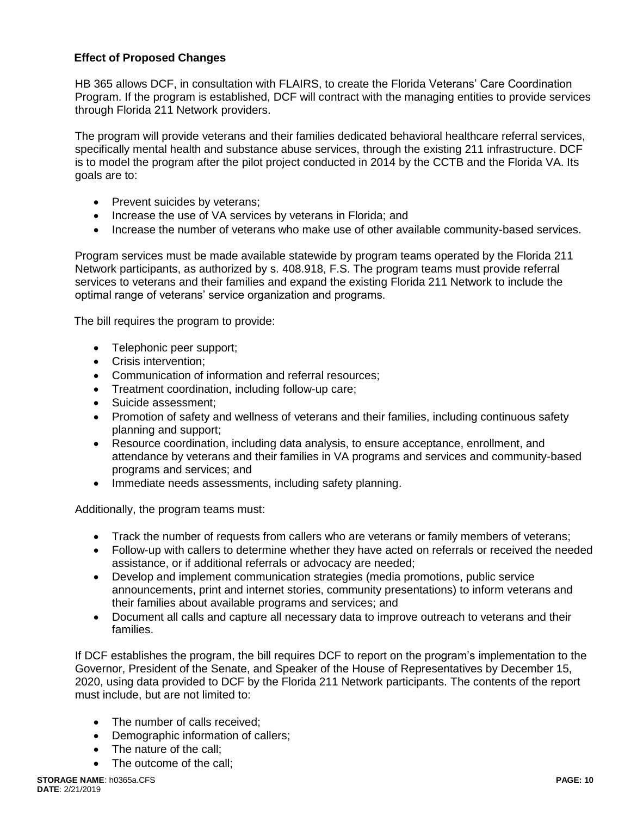## **Effect of Proposed Changes**

HB 365 allows DCF, in consultation with FLAIRS, to create the Florida Veterans' Care Coordination Program. If the program is established, DCF will contract with the managing entities to provide services through Florida 211 Network providers.

The program will provide veterans and their families dedicated behavioral healthcare referral services, specifically mental health and substance abuse services, through the existing 211 infrastructure. DCF is to model the program after the pilot project conducted in 2014 by the CCTB and the Florida VA. Its goals are to:

- Prevent suicides by veterans;
- Increase the use of VA services by veterans in Florida; and
- Increase the number of veterans who make use of other available community-based services.

Program services must be made available statewide by program teams operated by the Florida 211 Network participants, as authorized by s. 408.918, F.S. The program teams must provide referral services to veterans and their families and expand the existing Florida 211 Network to include the optimal range of veterans' service organization and programs.

The bill requires the program to provide:

- Telephonic peer support;
- Crisis intervention:
- Communication of information and referral resources;
- Treatment coordination, including follow-up care;
- Suicide assessment;
- Promotion of safety and wellness of veterans and their families, including continuous safety planning and support;
- Resource coordination, including data analysis, to ensure acceptance, enrollment, and attendance by veterans and their families in VA programs and services and community-based programs and services; and
- Immediate needs assessments, including safety planning.

Additionally, the program teams must:

- Track the number of requests from callers who are veterans or family members of veterans;
- Follow-up with callers to determine whether they have acted on referrals or received the needed assistance, or if additional referrals or advocacy are needed;
- Develop and implement communication strategies (media promotions, public service announcements, print and internet stories, community presentations) to inform veterans and their families about available programs and services; and
- Document all calls and capture all necessary data to improve outreach to veterans and their families.

If DCF establishes the program, the bill requires DCF to report on the program's implementation to the Governor, President of the Senate, and Speaker of the House of Representatives by December 15, 2020, using data provided to DCF by the Florida 211 Network participants. The contents of the report must include, but are not limited to:

- The number of calls received:
- Demographic information of callers;
- The nature of the call:
- The outcome of the call: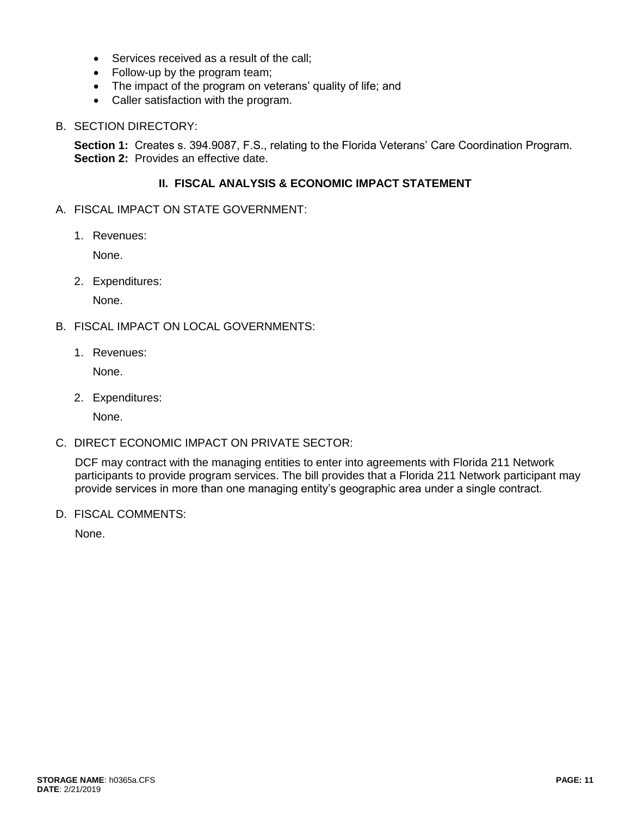- Services received as a result of the call;
- Follow-up by the program team;
- The impact of the program on veterans' quality of life; and
- Caller satisfaction with the program.

#### B. SECTION DIRECTORY:

**Section 1:** Creates s. 394.9087, F.S., relating to the Florida Veterans' Care Coordination Program. **Section 2:** Provides an effective date.

### **II. FISCAL ANALYSIS & ECONOMIC IMPACT STATEMENT**

- A. FISCAL IMPACT ON STATE GOVERNMENT:
	- 1. Revenues:

None.

2. Expenditures:

None.

- B. FISCAL IMPACT ON LOCAL GOVERNMENTS:
	- 1. Revenues:

None.

2. Expenditures:

None.

C. DIRECT ECONOMIC IMPACT ON PRIVATE SECTOR:

DCF may contract with the managing entities to enter into agreements with Florida 211 Network participants to provide program services. The bill provides that a Florida 211 Network participant may provide services in more than one managing entity's geographic area under a single contract.

D. FISCAL COMMENTS:

None.